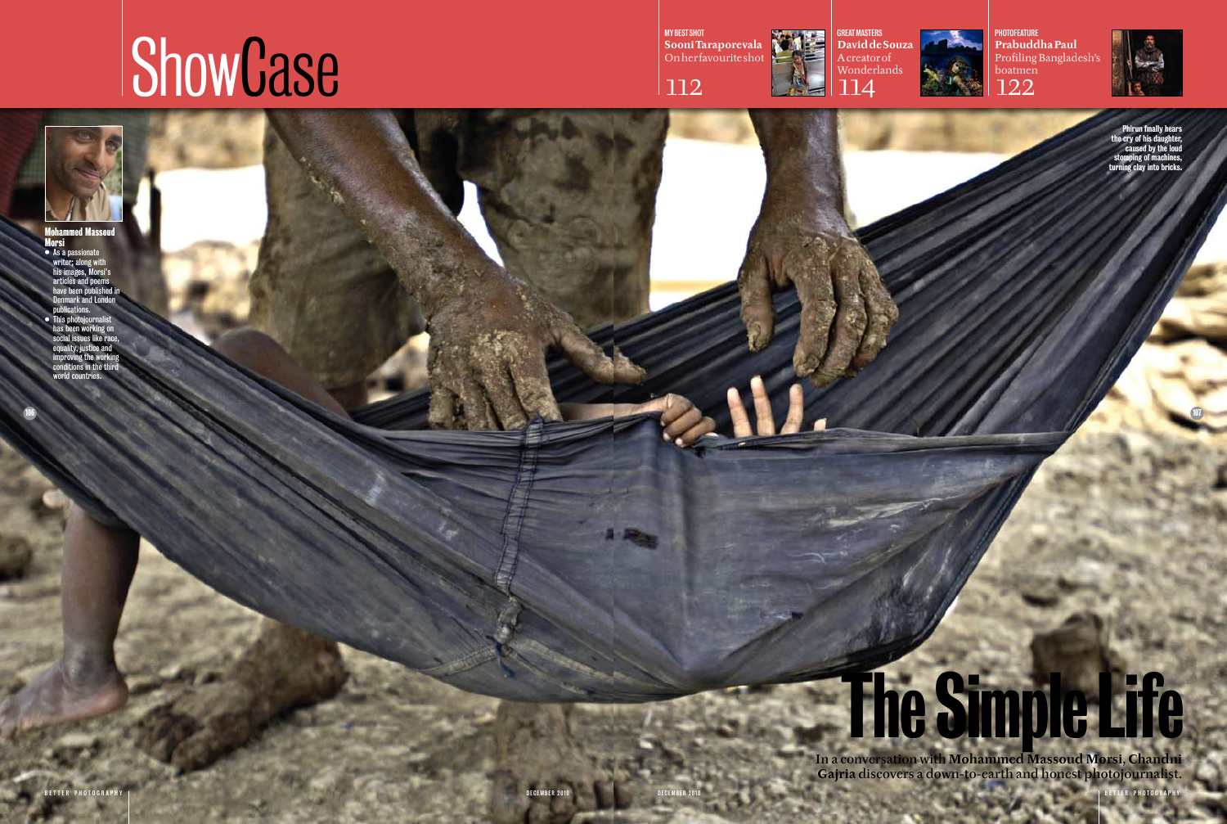106





Profile

107

# **The Simple Life**



**GREAT MASTERS David de Souza** A creator of Wonderlands

## **ShowCase**

MY BEST SHOT **Sooni Taraporevala** On her favourite shot







PHOTOFEATURE **Prabuddha Paul** Profiling Bangladesh's boatmen 122

- As a passionate writer; along with his images, Morsi's articles and poems have been published in nark and London ublications.
- This photojournalist has been working on social issues like race, equality, justice and improving the working conditions in the third world countries.

In a conversation with **Mohammed Massoud Morsi, Chandni Gajria** discovers a down-to-earth and honest photojournalist.

december 2010 | BETTER PHOTOGRAPHY

### Mohammed Massoud Morsi

Phirun finally hears the cry of his daughter, caused by the loud stomping of machines, turning clay into bricks.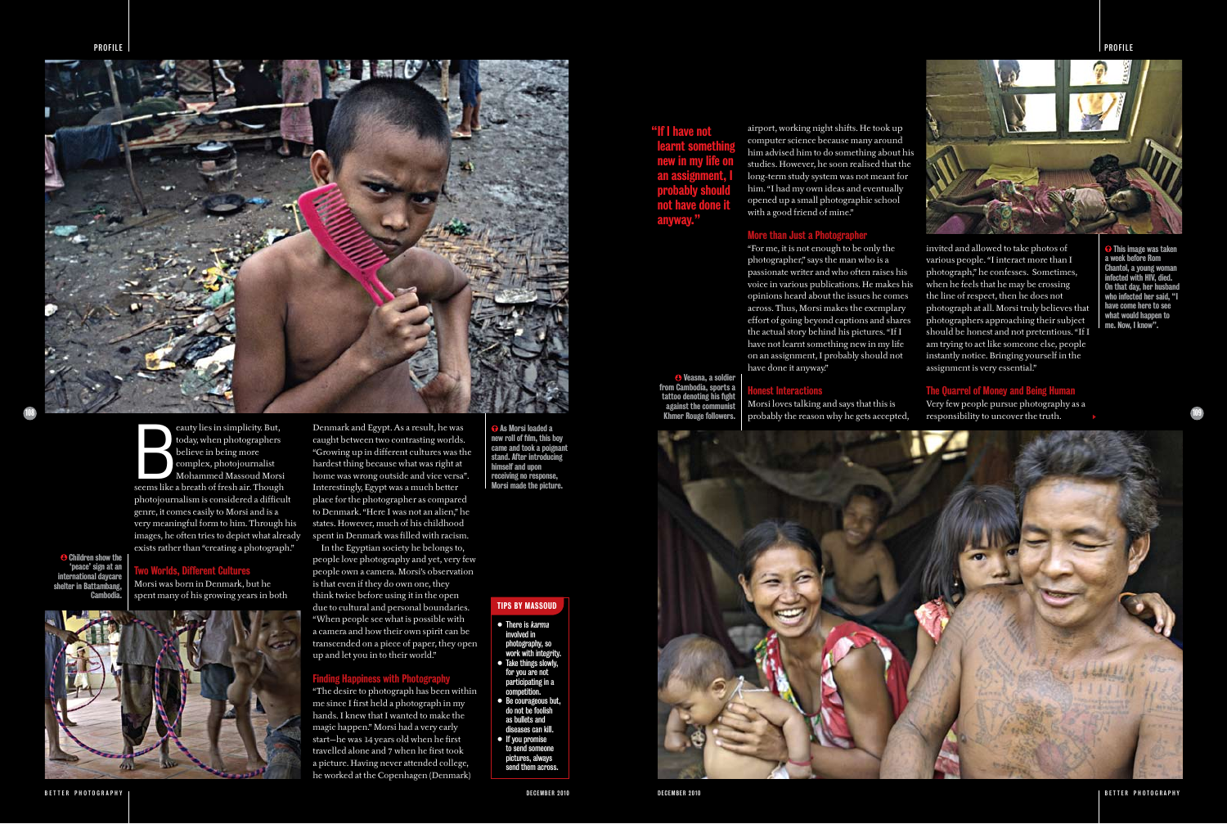

109

 This image was taken a week before Rom Chantol, a young woman infected with HIV, died. On that day, her husband who infected her said, "I have come here to see what would happen to me. Now, I know".

 Veasna, a soldier from Cambodia, sports a tattoo denoting his fight against the com Khmer Rouge followers.

 As Morsi loaded a new roll of film, this boy came and took a poignant stand. After introducing himself and upon receiving no response, Morsi made the picture.

eauty lies in simplicity. But,<br>today, when photographers<br>believe in being more<br>complex, photojournalist<br>Mohammed Massoud Morsi<br>seems like a breath of fresh air. Though eauty lies in simplicity. But, oday, when photographers believe in being more complex, photojournalist Mohammed Massoud Morsi photojournalism is considered a difficult genre, it comes easily to Morsi and is a very meaningful form to him. Through his images, he often tries to depict what already exists rather than "creating a photograph."

**C** Children show the 'peace' sign at an international daycare shelter in Battambang, **Cambod** 

### Tips by MASSOUD

• There is karma involved in photography, so work with integrity. • Take things slowly, for you are not participating in a competition. • Be courageous but, do not be foolish as bullets and diseases can kill. • If you promise to send someone pictures, always send them across

Two Worlds, Different Cultures Morsi was born in Denmark, but he spent many of his growing years in both



BETTER PHOTOGRAPHY | **Second and the contract of the contract of the contract of the contract of the contract of the contract of the contract of the contract of the contract of the contract of the contract of the contract** 

Denmark and Egypt. As a result, he was caught between two contrasting worlds. "Growing up in different cultures was the hardest thing because what was right at home was wrong outside and vice versa". Interestingly, Egypt was a much better place for the photographer as compared to Denmark. "Here I was not an alien," he states. However, much of his childhood spent in Denmark was filled with racism. In the Egyptian society he belongs to, people love photography and yet, very few people own a camera. Morsi's observation is that even if they do own one, they think twice before using it in the open due to cultural and personal boundaries. "When people see what is possible with a camera and how their own spirit can be transcended on a piece of paper, they open

up and let you in to their world."

### Finding Happiness with Photography

"The desire to photograph has been within me since I first held a photograph in my hands. I knew that I wanted to make the magic happen." Morsi had a very early start—he was 14 years old when he first travelled alone and 7 when he first took a picture. Having never attended college, he worked at the Copenhagen (Denmark)

airport, working night shifts. He took up

### **More than Just a Photograph**

computer science because many around him advised him to do something about his studies. However, he soon realised that the long-term study system was not meant for him. "I had my own ideas and eventually opened up a small photographic school with a good friend of mine."

"For me, it is not enough to be only the photographer," says the man who is a passionate writer and who often raises his voice in various publications. He makes his opinions heard about the issues he comes across. Thus, Morsi makes the exemplary effort of going beyond captions and shares the actual story behind his pictures. "If I have not learnt something new in my life on an assignment, I probably should not have done it anyway."

Honest Interactions





Morsi loves talking and says that this is probably the reason why he gets accepted,

invited and allowed to take photos of various people. "I interact more than I photograph," he confesses. Sometimes, when he feels that he may be crossing the line of respect, then he does not photograph at all. Morsi truly believes that photographers approaching their subject should be honest and not pretentious. "If I am trying to act like someone else, people instantly notice. Bringing yourself in the assignment is very essential."

The Quarrel of Money and Being Human Very few people pursue photography as a responsibility to uncover the truth.

## "If I have not learnt something new in my life on an assignment, I probably should not have done it anyway."